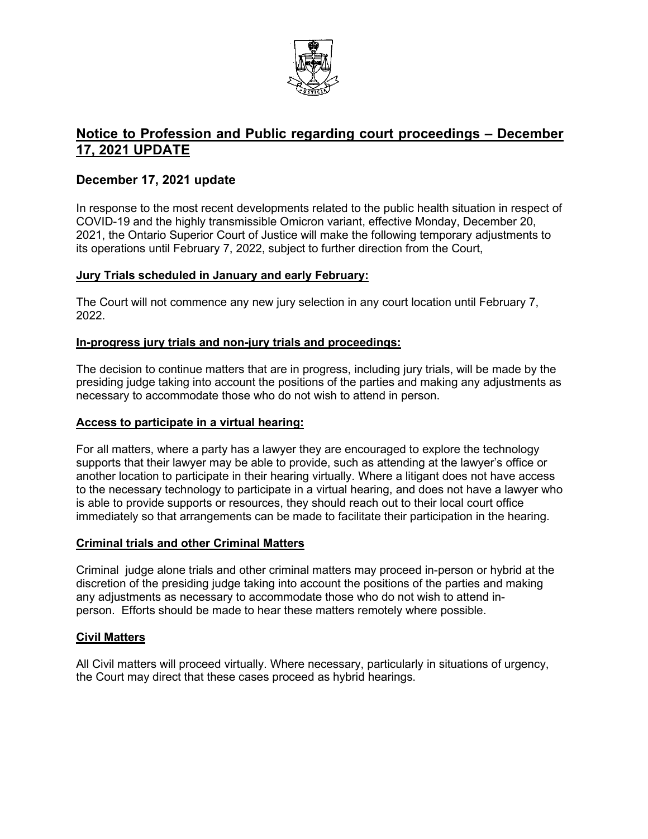

# **Notice to Profession and Public regarding court proceedings – December 17, 2021 UPDATE**

# **December 17, 2021 update**

In response to the most recent developments related to the public health situation in respect of COVID-19 and the highly transmissible Omicron variant, effective Monday, December 20, 2021, the Ontario Superior Court of Justice will make the following temporary adjustments to its operations until February 7, 2022, subject to further direction from the Court,

### **Jury Trials scheduled in January and early February:**

The Court will not commence any new jury selection in any court location until February 7, 2022.

### **In-progress jury trials and non-jury trials and proceedings:**

The decision to continue matters that are in progress, including jury trials, will be made by the presiding judge taking into account the positions of the parties and making any adjustments as necessary to accommodate those who do not wish to attend in person.

#### **Access to participate in a virtual hearing:**

For all matters, where a party has a lawyer they are encouraged to explore the technology supports that their lawyer may be able to provide, such as attending at the lawyer's office or another location to participate in their hearing virtually. Where a litigant does not have access to the necessary technology to participate in a virtual hearing, and does not have a lawyer who is able to provide supports or resources, they should reach out to their local court office immediately so that arrangements can be made to facilitate their participation in the hearing.

#### **Criminal trials and other Criminal Matters**

Criminal judge alone trials and other criminal matters may proceed in-person or hybrid at the discretion of the presiding judge taking into account the positions of the parties and making any adjustments as necessary to accommodate those who do not wish to attend inperson. Efforts should be made to hear these matters remotely where possible.

#### **Civil Matters**

All Civil matters will proceed virtually. Where necessary, particularly in situations of urgency, the Court may direct that these cases proceed as hybrid hearings.